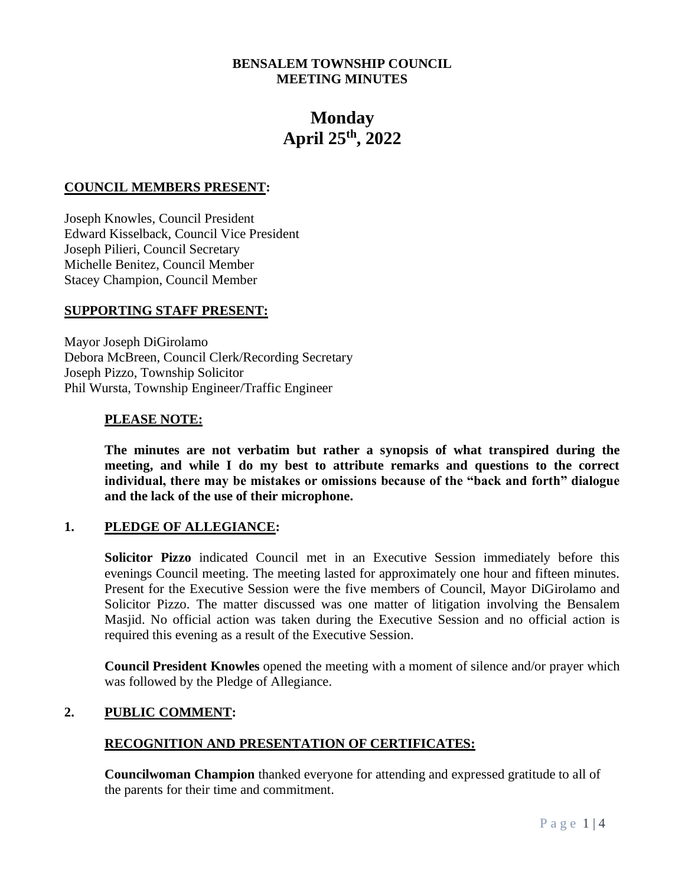# **BENSALEM TOWNSHIP COUNCIL MEETING MINUTES**

# **Monday April 25th, 2022**

#### **COUNCIL MEMBERS PRESENT:**

Joseph Knowles, Council President Edward Kisselback, Council Vice President Joseph Pilieri, Council Secretary Michelle Benitez, Council Member Stacey Champion, Council Member

#### **SUPPORTING STAFF PRESENT:**

Mayor Joseph DiGirolamo Debora McBreen, Council Clerk/Recording Secretary Joseph Pizzo, Township Solicitor Phil Wursta, Township Engineer/Traffic Engineer

#### **PLEASE NOTE:**

**The minutes are not verbatim but rather a synopsis of what transpired during the meeting, and while I do my best to attribute remarks and questions to the correct individual, there may be mistakes or omissions because of the "back and forth" dialogue and the lack of the use of their microphone.**

#### **1. PLEDGE OF ALLEGIANCE:**

**Solicitor Pizzo** indicated Council met in an Executive Session immediately before this evenings Council meeting. The meeting lasted for approximately one hour and fifteen minutes. Present for the Executive Session were the five members of Council, Mayor DiGirolamo and Solicitor Pizzo. The matter discussed was one matter of litigation involving the Bensalem Masjid. No official action was taken during the Executive Session and no official action is required this evening as a result of the Executive Session.

**Council President Knowles** opened the meeting with a moment of silence and/or prayer which was followed by the Pledge of Allegiance.

#### **2. PUBLIC COMMENT:**

# **RECOGNITION AND PRESENTATION OF CERTIFICATES:**

**Councilwoman Champion** thanked everyone for attending and expressed gratitude to all of the parents for their time and commitment.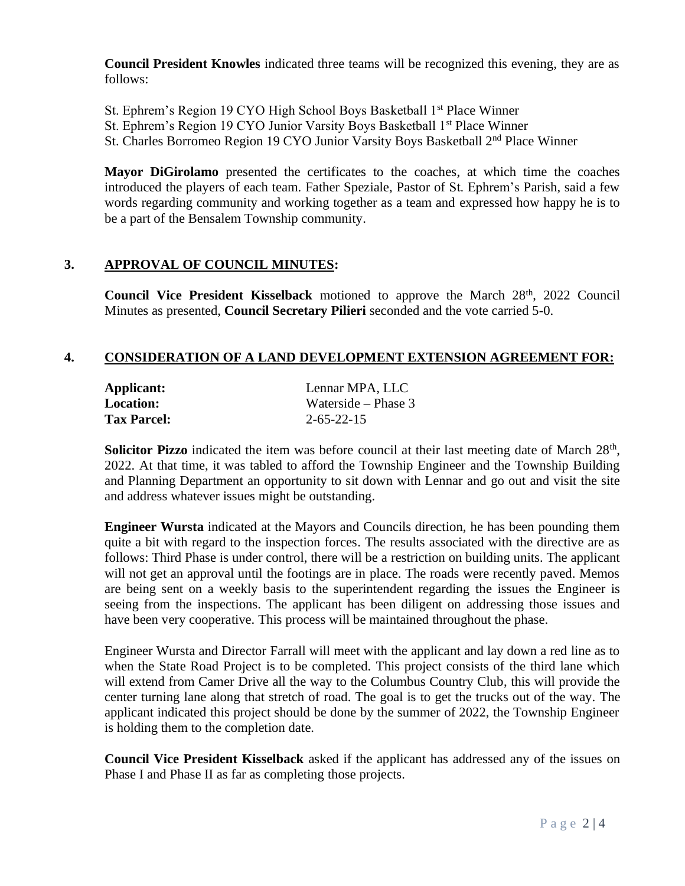**Council President Knowles** indicated three teams will be recognized this evening, they are as follows:

- St. Ephrem's Region 19 CYO High School Boys Basketball 1st Place Winner
- St. Ephrem's Region 19 CYO Junior Varsity Boys Basketball 1<sup>st</sup> Place Winner
- St. Charles Borromeo Region 19 CYO Junior Varsity Boys Basketball 2<sup>nd</sup> Place Winner

**Mayor DiGirolamo** presented the certificates to the coaches, at which time the coaches introduced the players of each team. Father Speziale, Pastor of St. Ephrem's Parish, said a few words regarding community and working together as a team and expressed how happy he is to be a part of the Bensalem Township community.

#### **3. APPROVAL OF COUNCIL MINUTES:**

**Council Vice President Kisselback** motioned to approve the March 28<sup>th</sup>, 2022 Council Minutes as presented, **Council Secretary Pilieri** seconded and the vote carried 5-0.

#### **4. CONSIDERATION OF A LAND DEVELOPMENT EXTENSION AGREEMENT FOR:**

| Applicant:         | Lennar MPA, LLC       |
|--------------------|-----------------------|
| <b>Location:</b>   | Waterside – Phase $3$ |
| <b>Tax Parcel:</b> | $2 - 65 - 22 - 15$    |

Solicitor Pizzo indicated the item was before council at their last meeting date of March 28<sup>th</sup>, 2022. At that time, it was tabled to afford the Township Engineer and the Township Building and Planning Department an opportunity to sit down with Lennar and go out and visit the site and address whatever issues might be outstanding.

**Engineer Wursta** indicated at the Mayors and Councils direction, he has been pounding them quite a bit with regard to the inspection forces. The results associated with the directive are as follows: Third Phase is under control, there will be a restriction on building units. The applicant will not get an approval until the footings are in place. The roads were recently paved. Memos are being sent on a weekly basis to the superintendent regarding the issues the Engineer is seeing from the inspections. The applicant has been diligent on addressing those issues and have been very cooperative. This process will be maintained throughout the phase.

Engineer Wursta and Director Farrall will meet with the applicant and lay down a red line as to when the State Road Project is to be completed. This project consists of the third lane which will extend from Camer Drive all the way to the Columbus Country Club, this will provide the center turning lane along that stretch of road. The goal is to get the trucks out of the way. The applicant indicated this project should be done by the summer of 2022, the Township Engineer is holding them to the completion date.

**Council Vice President Kisselback** asked if the applicant has addressed any of the issues on Phase I and Phase II as far as completing those projects.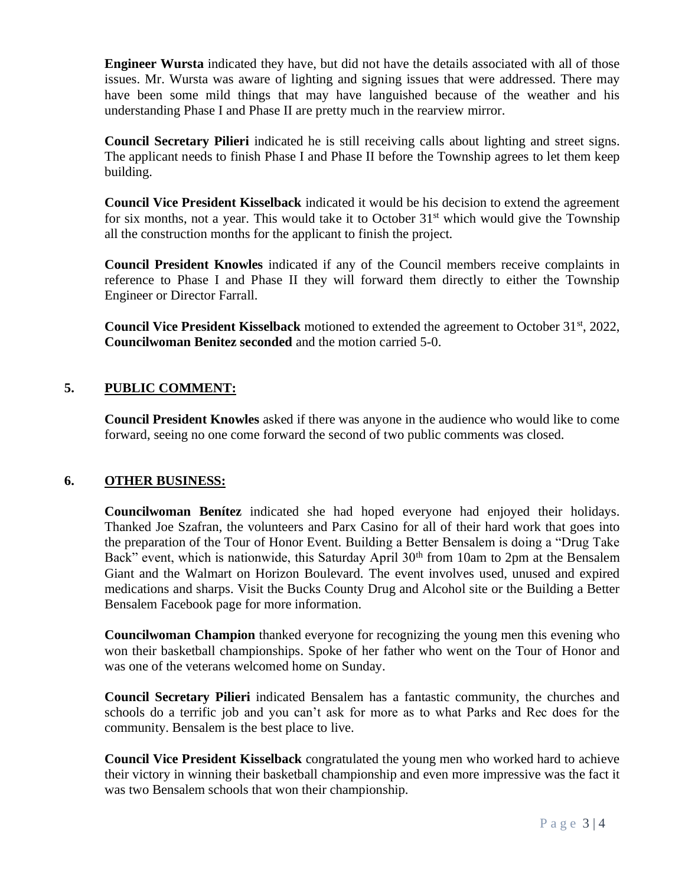**Engineer Wursta** indicated they have, but did not have the details associated with all of those issues. Mr. Wursta was aware of lighting and signing issues that were addressed. There may have been some mild things that may have languished because of the weather and his understanding Phase I and Phase II are pretty much in the rearview mirror.

**Council Secretary Pilieri** indicated he is still receiving calls about lighting and street signs. The applicant needs to finish Phase I and Phase II before the Township agrees to let them keep building.

**Council Vice President Kisselback** indicated it would be his decision to extend the agreement for six months, not a year. This would take it to October  $31<sup>st</sup>$  which would give the Township all the construction months for the applicant to finish the project.

**Council President Knowles** indicated if any of the Council members receive complaints in reference to Phase I and Phase II they will forward them directly to either the Township Engineer or Director Farrall.

**Council Vice President Kisselback** motioned to extended the agreement to October 31<sup>st</sup>, 2022, **Councilwoman Benitez seconded** and the motion carried 5-0.

# **5. PUBLIC COMMENT:**

**Council President Knowles** asked if there was anyone in the audience who would like to come forward, seeing no one come forward the second of two public comments was closed.

# **6. OTHER BUSINESS:**

**Councilwoman Benítez** indicated she had hoped everyone had enjoyed their holidays. Thanked Joe Szafran, the volunteers and Parx Casino for all of their hard work that goes into the preparation of the Tour of Honor Event. Building a Better Bensalem is doing a "Drug Take Back" event, which is nationwide, this Saturday April 30<sup>th</sup> from 10am to 2pm at the Bensalem Giant and the Walmart on Horizon Boulevard. The event involves used, unused and expired medications and sharps. Visit the Bucks County Drug and Alcohol site or the Building a Better Bensalem Facebook page for more information.

**Councilwoman Champion** thanked everyone for recognizing the young men this evening who won their basketball championships. Spoke of her father who went on the Tour of Honor and was one of the veterans welcomed home on Sunday.

**Council Secretary Pilieri** indicated Bensalem has a fantastic community, the churches and schools do a terrific job and you can't ask for more as to what Parks and Rec does for the community. Bensalem is the best place to live.

**Council Vice President Kisselback** congratulated the young men who worked hard to achieve their victory in winning their basketball championship and even more impressive was the fact it was two Bensalem schools that won their championship.